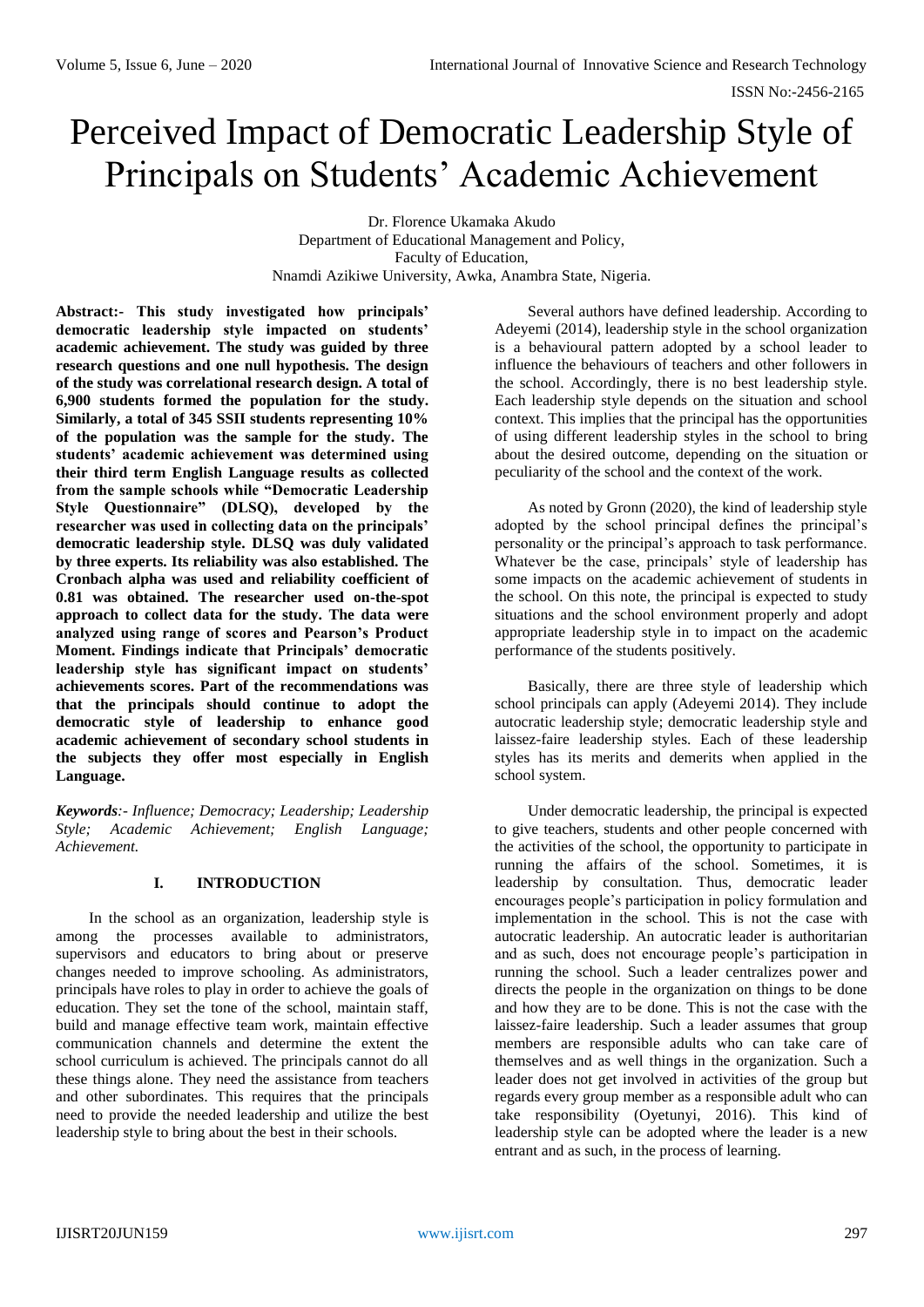# Perceived Impact of Democratic Leadership Style of Principals on Students' Academic Achievement

Dr. Florence Ukamaka Akudo Department of Educational Management and Policy, Faculty of Education, Nnamdi Azikiwe University, Awka, Anambra State, Nigeria.

**Abstract:- This study investigated how principals' democratic leadership style impacted on students' academic achievement. The study was guided by three research questions and one null hypothesis. The design of the study was correlational research design. A total of 6,900 students formed the population for the study. Similarly, a total of 345 SSII students representing 10% of the population was the sample for the study. The students' academic achievement was determined using their third term English Language results as collected from the sample schools while "Democratic Leadership Style Questionnaire" (DLSQ), developed by the researcher was used in collecting data on the principals' democratic leadership style. DLSQ was duly validated by three experts. Its reliability was also established. The Cronbach alpha was used and reliability coefficient of 0.81 was obtained. The researcher used on-the-spot approach to collect data for the study. The data were analyzed using range of scores and Pearson's Product Moment. Findings indicate that Principals' democratic leadership style has significant impact on students' achievements scores. Part of the recommendations was that the principals should continue to adopt the democratic style of leadership to enhance good academic achievement of secondary school students in the subjects they offer most especially in English Language.** 

*Keywords:- Influence; Democracy; Leadership; Leadership Style; Academic Achievement; English Language; Achievement.*

## **I. INTRODUCTION**

In the school as an organization, leadership style is among the processes available to administrators, supervisors and educators to bring about or preserve changes needed to improve schooling. As administrators, principals have roles to play in order to achieve the goals of education. They set the tone of the school, maintain staff, build and manage effective team work, maintain effective communication channels and determine the extent the school curriculum is achieved. The principals cannot do all these things alone. They need the assistance from teachers and other subordinates. This requires that the principals need to provide the needed leadership and utilize the best leadership style to bring about the best in their schools.

Several authors have defined leadership. According to Adeyemi (2014), leadership style in the school organization is a behavioural pattern adopted by a school leader to influence the behaviours of teachers and other followers in the school. Accordingly, there is no best leadership style. Each leadership style depends on the situation and school context. This implies that the principal has the opportunities of using different leadership styles in the school to bring about the desired outcome, depending on the situation or peculiarity of the school and the context of the work.

As noted by Gronn (2020), the kind of leadership style adopted by the school principal defines the principal's personality or the principal's approach to task performance. Whatever be the case, principals' style of leadership has some impacts on the academic achievement of students in the school. On this note, the principal is expected to study situations and the school environment properly and adopt appropriate leadership style in to impact on the academic performance of the students positively.

Basically, there are three style of leadership which school principals can apply (Adeyemi 2014). They include autocratic leadership style; democratic leadership style and laissez-faire leadership styles. Each of these leadership styles has its merits and demerits when applied in the school system.

Under democratic leadership, the principal is expected to give teachers, students and other people concerned with the activities of the school, the opportunity to participate in running the affairs of the school. Sometimes, it is leadership by consultation. Thus, democratic leader encourages people's participation in policy formulation and implementation in the school. This is not the case with autocratic leadership. An autocratic leader is authoritarian and as such, does not encourage people's participation in running the school. Such a leader centralizes power and directs the people in the organization on things to be done and how they are to be done. This is not the case with the laissez-faire leadership. Such a leader assumes that group members are responsible adults who can take care of themselves and as well things in the organization. Such a leader does not get involved in activities of the group but regards every group member as a responsible adult who can take responsibility (Oyetunyi, 2016). This kind of leadership style can be adopted where the leader is a new entrant and as such, in the process of learning.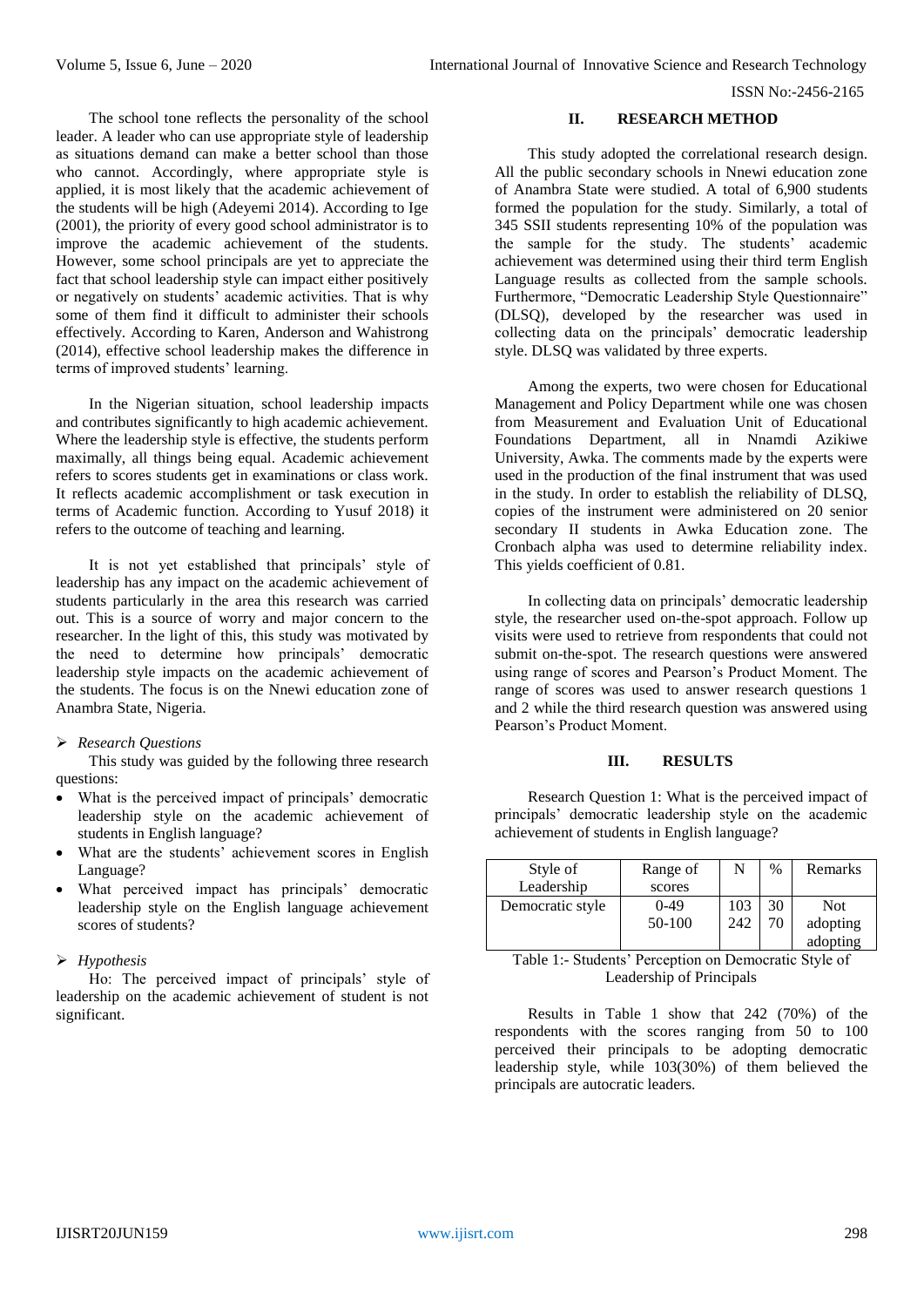The school tone reflects the personality of the school leader. A leader who can use appropriate style of leadership as situations demand can make a better school than those who cannot. Accordingly, where appropriate style is applied, it is most likely that the academic achievement of the students will be high (Adeyemi 2014). According to Ige (2001), the priority of every good school administrator is to improve the academic achievement of the students. However, some school principals are yet to appreciate the fact that school leadership style can impact either positively or negatively on students' academic activities. That is why some of them find it difficult to administer their schools effectively. According to Karen, Anderson and Wahistrong (2014), effective school leadership makes the difference in terms of improved students' learning.

In the Nigerian situation, school leadership impacts and contributes significantly to high academic achievement. Where the leadership style is effective, the students perform maximally, all things being equal. Academic achievement refers to scores students get in examinations or class work. It reflects academic accomplishment or task execution in terms of Academic function. According to Yusuf 2018) it refers to the outcome of teaching and learning.

It is not yet established that principals' style of leadership has any impact on the academic achievement of students particularly in the area this research was carried out. This is a source of worry and major concern to the researcher. In the light of this, this study was motivated by the need to determine how principals' democratic leadership style impacts on the academic achievement of the students. The focus is on the Nnewi education zone of Anambra State, Nigeria.

#### *Research Questions*

This study was guided by the following three research questions:

- What is the perceived impact of principals' democratic leadership style on the academic achievement of students in English language?
- What are the students' achievement scores in English Language?
- What perceived impact has principals' democratic leadership style on the English language achievement scores of students?

## *Hypothesis*

Ho: The perceived impact of principals' style of leadership on the academic achievement of student is not significant.

## **II. RESEARCH METHOD**

This study adopted the correlational research design. All the public secondary schools in Nnewi education zone of Anambra State were studied. A total of 6,900 students formed the population for the study. Similarly, a total of 345 SSII students representing 10% of the population was the sample for the study. The students' academic achievement was determined using their third term English Language results as collected from the sample schools. Furthermore, "Democratic Leadership Style Questionnaire" (DLSQ), developed by the researcher was used in collecting data on the principals' democratic leadership style. DLSQ was validated by three experts.

Among the experts, two were chosen for Educational Management and Policy Department while one was chosen from Measurement and Evaluation Unit of Educational Foundations Department, all in Nnamdi Azikiwe University, Awka. The comments made by the experts were used in the production of the final instrument that was used in the study. In order to establish the reliability of DLSQ, copies of the instrument were administered on 20 senior secondary II students in Awka Education zone. The Cronbach alpha was used to determine reliability index. This yields coefficient of 0.81.

In collecting data on principals' democratic leadership style, the researcher used on-the-spot approach. Follow up visits were used to retrieve from respondents that could not submit on-the-spot. The research questions were answered using range of scores and Pearson's Product Moment. The range of scores was used to answer research questions 1 and 2 while the third research question was answered using Pearson's Product Moment.

## **III. RESULTS**

Research Question 1: What is the perceived impact of principals' democratic leadership style on the academic achievement of students in English language?

| Style of         | Range of | N   | $\%$ | Remarks    |
|------------------|----------|-----|------|------------|
| Leadership       | scores   |     |      |            |
| Democratic style | $0-49$   | 103 | 30   | <b>Not</b> |
|                  | 50-100   | 242 | 70   | adopting   |
|                  |          |     |      | adopting   |

Table 1:- Students' Perception on Democratic Style of Leadership of Principals

Results in Table 1 show that 242 (70%) of the respondents with the scores ranging from 50 to 100 perceived their principals to be adopting democratic leadership style, while 103(30%) of them believed the principals are autocratic leaders.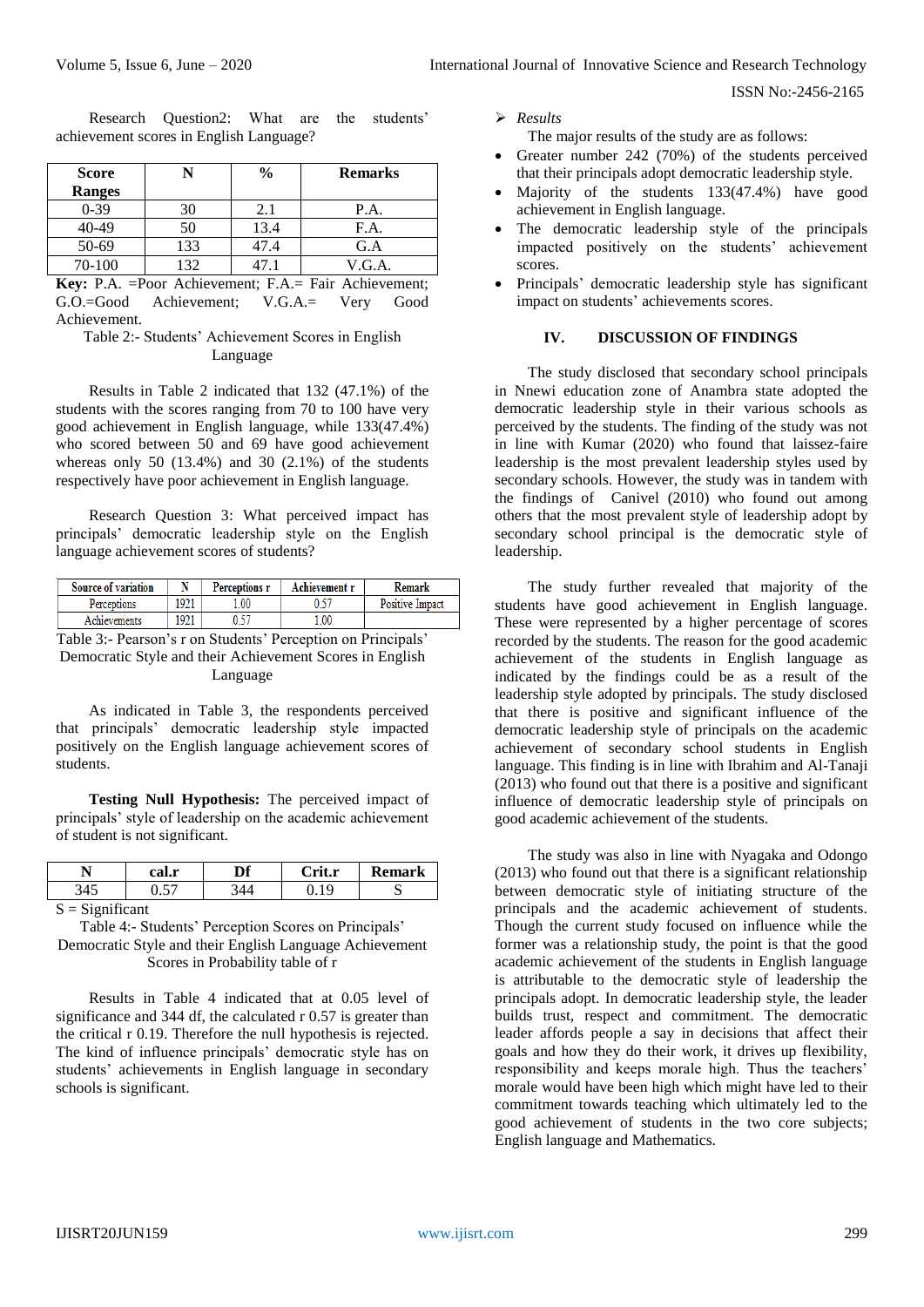Research Question2: What are the students' achievement scores in English Language?

| <b>Score</b>  |     | $\frac{6}{9}$ | <b>Remarks</b> |
|---------------|-----|---------------|----------------|
| <b>Ranges</b> |     |               |                |
| $0 - 39$      | 30  | 2.1           | P.A.           |
| 40-49         | 50  | 13.4          | F.A.           |
| 50-69         | 133 | 47.4          | G.A            |
| 70-100        | 32  |               | V.G.A.         |

**Key:** P.A. =Poor Achievement; F.A.= Fair Achievement; G.O.=Good Achievement; V.G.A.= Very Good Achievement.

Table 2:- Students' Achievement Scores in English Language

Results in Table 2 indicated that 132 (47.1%) of the students with the scores ranging from 70 to 100 have very good achievement in English language, while 133(47.4%) who scored between 50 and 69 have good achievement whereas only 50  $(13.4\%)$  and 30  $(2.1\%)$  of the students respectively have poor achievement in English language.

Research Question 3: What perceived impact has principals' democratic leadership style on the English language achievement scores of students?

| <b>Source of variation</b> |      | <b>Perceptions r</b> | Achievement r | Remark                 |
|----------------------------|------|----------------------|---------------|------------------------|
| Perceptions                | '921 | .00                  |               | <b>Positive Impact</b> |
| Achievements               | 921  |                      | .00           |                        |

Table 3:- Pearson's r on Students' Perception on Principals' Democratic Style and their Achievement Scores in English Language

As indicated in Table 3, the respondents perceived that principals' democratic leadership style impacted positively on the English language achievement scores of students.

**Testing Null Hypothesis:** The perceived impact of principals' style of leadership on the academic achievement of student is not significant.

| г | $\mathbf{r}$<br>UULIL | nе | $\mathbf{r}$ | mark |
|---|-----------------------|----|--------------|------|
|   | ت                     |    |              | N    |

 $S =$ Significant

Table 4:- Students' Perception Scores on Principals' Democratic Style and their English Language Achievement Scores in Probability table of r

Results in Table 4 indicated that at 0.05 level of significance and 344 df, the calculated r 0.57 is greater than the critical r 0.19. Therefore the null hypothesis is rejected. The kind of influence principals' democratic style has on students' achievements in English language in secondary schools is significant.

*Results*

The major results of the study are as follows:

- Greater number 242 (70%) of the students perceived that their principals adopt democratic leadership style.
- Majority of the students 133(47.4%) have good achievement in English language.
- The democratic leadership style of the principals impacted positively on the students' achievement scores.
- Principals' democratic leadership style has significant impact on students' achievements scores.

#### **IV. DISCUSSION OF FINDINGS**

The study disclosed that secondary school principals in Nnewi education zone of Anambra state adopted the democratic leadership style in their various schools as perceived by the students. The finding of the study was not in line with Kumar (2020) who found that laissez-faire leadership is the most prevalent leadership styles used by secondary schools. However, the study was in tandem with the findings of Canivel (2010) who found out among others that the most prevalent style of leadership adopt by secondary school principal is the democratic style of leadership.

The study further revealed that majority of the students have good achievement in English language. These were represented by a higher percentage of scores recorded by the students. The reason for the good academic achievement of the students in English language as indicated by the findings could be as a result of the leadership style adopted by principals. The study disclosed that there is positive and significant influence of the democratic leadership style of principals on the academic achievement of secondary school students in English language. This finding is in line with Ibrahim and Al-Tanaji (2013) who found out that there is a positive and significant influence of democratic leadership style of principals on good academic achievement of the students.

The study was also in line with Nyagaka and Odongo (2013) who found out that there is a significant relationship between democratic style of initiating structure of the principals and the academic achievement of students. Though the current study focused on influence while the former was a relationship study, the point is that the good academic achievement of the students in English language is attributable to the democratic style of leadership the principals adopt. In democratic leadership style, the leader builds trust, respect and commitment. The democratic leader affords people a say in decisions that affect their goals and how they do their work, it drives up flexibility, responsibility and keeps morale high. Thus the teachers' morale would have been high which might have led to their commitment towards teaching which ultimately led to the good achievement of students in the two core subjects; English language and Mathematics.